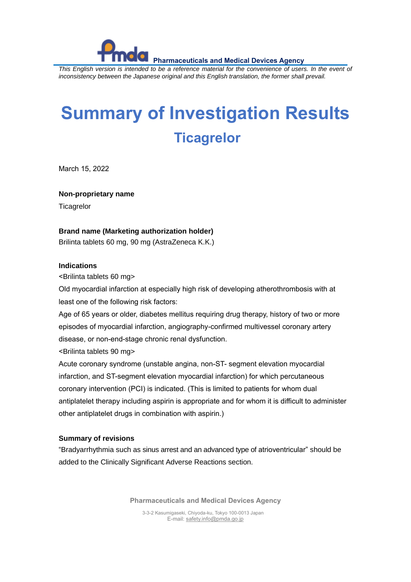**Pharmaceuticals and Medical Devices Agency** *This English version is intended to be a reference material for the convenience of users. In the event of inconsistency between the Japanese original and this English translation, the former shall prevail.*

# **Summary of Investigation Results Ticagrelor**

March 15, 2022

**Non-proprietary name**

**Ticagrelor** 

### **Brand name (Marketing authorization holder)**

Brilinta tablets 60 mg, 90 mg (AstraZeneca K.K.)

#### **Indications**

<Brilinta tablets 60 mg>

Old myocardial infarction at especially high risk of developing atherothrombosis with at least one of the following risk factors:

Age of 65 years or older, diabetes mellitus requiring drug therapy, history of two or more episodes of myocardial infarction, angiography-confirmed multivessel coronary artery disease, or non-end-stage chronic renal dysfunction.

<Brilinta tablets 90 mg>

Acute coronary syndrome (unstable angina, non-ST- segment elevation myocardial infarction, and ST-segment elevation myocardial infarction) for which percutaneous coronary intervention (PCI) is indicated. (This is limited to patients for whom dual antiplatelet therapy including aspirin is appropriate and for whom it is difficult to administer other antiplatelet drugs in combination with aspirin.)

#### **Summary of revisions**

"Bradyarrhythmia such as sinus arrest and an advanced type of atrioventricular" should be added to the Clinically Significant Adverse Reactions section.

**Pharmaceuticals and Medical Devices Agency**

3-3-2 Kasumigaseki, Chiyoda-ku, Tokyo 100-0013 Japan E-mail[: safety.info@pmda.go.jp](mailto:safety.info@pmda.go.jp)